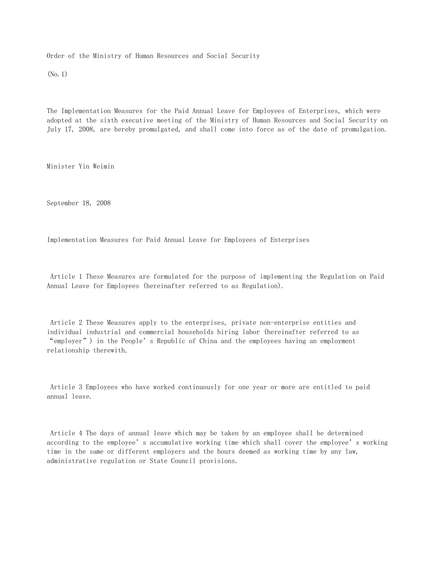Order of the Ministry of Human Resources and Social Security

(No.1)

The Implementation Measures for the Paid Annual Leave for Employees of Enterprises, which were adopted at the sixth executive meeting of the Ministry of Human Resources and Social Security on July 17, 2008, are hereby promulgated, and shall come into force as of the date of promulgation.

Minister Yin Weimin

September 18, 2008

Implementation Measures for Paid Annual Leave for Employees of Enterprises

 Article 1 These Measures are formulated for the purpose of implementing the Regulation on Paid Annual Leave for Employees (hereinafter referred to as Regulation).

 Article 2 These Measures apply to the enterprises, private non-enterprise entities and individual industrial and commercial households hiring labor (hereinafter referred to as "employer") in the People's Republic of China and the employees having an employment relationship therewith.

 Article 3 Employees who have worked continuously for one year or more are entitled to paid annual leave.

 Article 4 The days of annual leave which may be taken by an employee shall be determined according to the employee's accumulative working time which shall cover the employee's working time in the same or different employers and the hours deemed as working time by any law, administrative regulation or State Council provisions.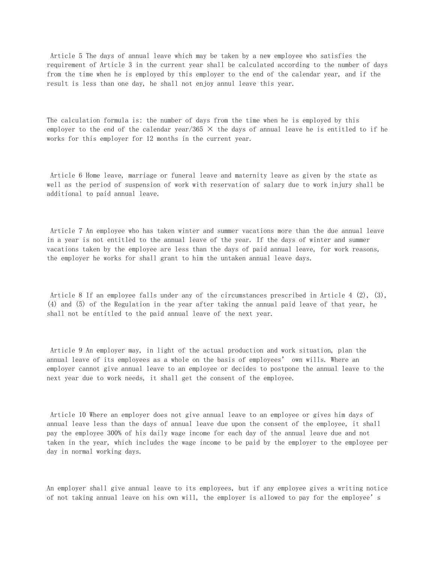Article 5 The days of annual leave which may be taken by a new employee who satisfies the requirement of Article 3 in the current year shall be calculated according to the number of days from the time when he is employed by this employer to the end of the calendar year, and if the result is less than one day, he shall not enjoy annul leave this year.

The calculation formula is: the number of days from the time when he is employed by this employer to the end of the calendar year/365  $\times$  the days of annual leave he is entitled to if he works for this employer for 12 months in the current year.

 Article 6 Home leave, marriage or funeral leave and maternity leave as given by the state as well as the period of suspension of work with reservation of salary due to work injury shall be additional to paid annual leave.

 Article 7 An employee who has taken winter and summer vacations more than the due annual leave in a year is not entitled to the annual leave of the year. If the days of winter and summer vacations taken by the employee are less than the days of paid annual leave, for work reasons, the employer he works for shall grant to him the untaken annual leave days.

 Article 8 If an employee falls under any of the circumstances prescribed in Article 4 (2), (3), (4) and (5) of the Regulation in the year after taking the annual paid leave of that year, he shall not be entitled to the paid annual leave of the next year.

 Article 9 An employer may, in light of the actual production and work situation, plan the annual leave of its employees as a whole on the basis of employees' own wills. Where an employer cannot give annual leave to an employee or decides to postpone the annual leave to the next year due to work needs, it shall get the consent of the employee.

 Article 10 Where an employer does not give annual leave to an employee or gives him days of annual leave less than the days of annual leave due upon the consent of the employee, it shall pay the employee 300% of his daily wage income for each day of the annual leave due and not taken in the year, which includes the wage income to be paid by the employer to the employee per day in normal working days.

An employer shall give annual leave to its employees, but if any employee gives a writing notice of not taking annual leave on his own will, the employer is allowed to pay for the employee's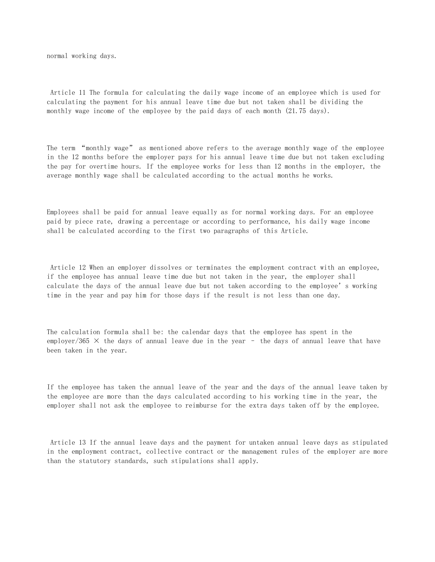normal working days.

 Article 11 The formula for calculating the daily wage income of an employee which is used for calculating the payment for his annual leave time due but not taken shall be dividing the monthly wage income of the employee by the paid days of each month (21.75 days).

The term "monthly wage" as mentioned above refers to the average monthly wage of the employee in the 12 months before the employer pays for his annual leave time due but not taken excluding the pay for overtime hours. If the employee works for less than 12 months in the employer, the average monthly wage shall be calculated according to the actual months he works.

Employees shall be paid for annual leave equally as for normal working days. For an employee paid by piece rate, drawing a percentage or according to performance, his daily wage income shall be calculated according to the first two paragraphs of this Article.

 Article 12 When an employer dissolves or terminates the employment contract with an employee, if the employee has annual leave time due but not taken in the year, the employer shall calculate the days of the annual leave due but not taken according to the employee's working time in the year and pay him for those days if the result is not less than one day.

The calculation formula shall be: the calendar days that the employee has spent in the employer/365  $\times$  the days of annual leave due in the year  $-$  the days of annual leave that have been taken in the year.

If the employee has taken the annual leave of the year and the days of the annual leave taken by the employee are more than the days calculated according to his working time in the year, the employer shall not ask the employee to reimburse for the extra days taken off by the employee.

 Article 13 If the annual leave days and the payment for untaken annual leave days as stipulated in the employment contract, collective contract or the management rules of the employer are more than the statutory standards, such stipulations shall apply.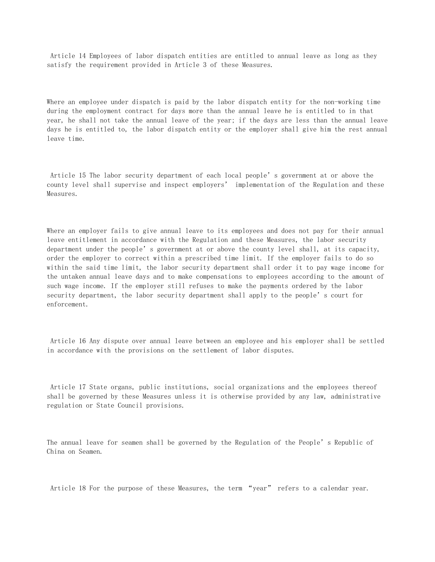Article 14 Employees of labor dispatch entities are entitled to annual leave as long as they satisfy the requirement provided in Article 3 of these Measures.

Where an employee under dispatch is paid by the labor dispatch entity for the non-working time during the employment contract for days more than the annual leave he is entitled to in that year, he shall not take the annual leave of the year; if the days are less than the annual leave days he is entitled to, the labor dispatch entity or the employer shall give him the rest annual leave time.

 Article 15 The labor security department of each local people's government at or above the county level shall supervise and inspect employers' implementation of the Regulation and these Measures.

Where an employer fails to give annual leave to its employees and does not pay for their annual leave entitlement in accordance with the Regulation and these Measures, the labor security department under the people's government at or above the county level shall, at its capacity, order the employer to correct within a prescribed time limit. If the employer fails to do so within the said time limit, the labor security department shall order it to pay wage income for the untaken annual leave days and to make compensations to employees according to the amount of such wage income. If the employer still refuses to make the payments ordered by the labor security department, the labor security department shall apply to the people's court for enforcement.

 Article 16 Any dispute over annual leave between an employee and his employer shall be settled in accordance with the provisions on the settlement of labor disputes.

 Article 17 State organs, public institutions, social organizations and the employees thereof shall be governed by these Measures unless it is otherwise provided by any law, administrative regulation or State Council provisions.

The annual leave for seamen shall be governed by the Regulation of the People's Republic of China on Seamen.

Article 18 For the purpose of these Measures, the term "year" refers to a calendar year.